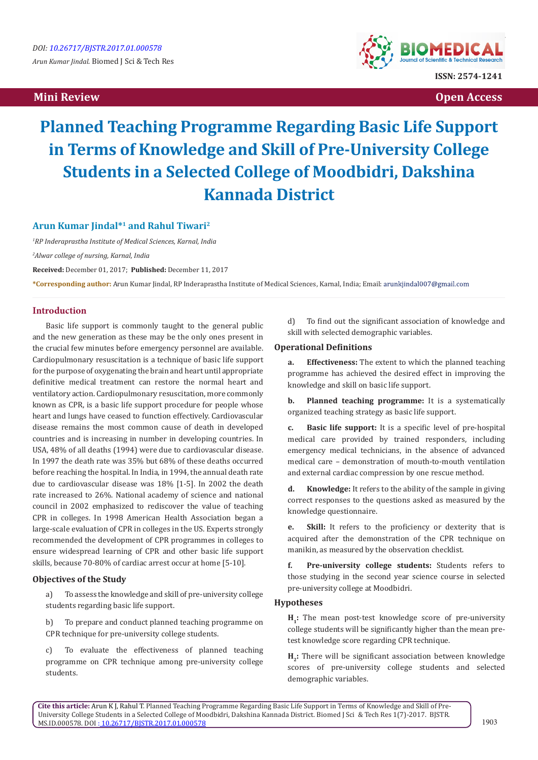# **Mini Review Open Access**



# **Planned Teaching Programme Regarding Basic Life Support in Terms of Knowledge and Skill of Pre-University College Students in a Selected College of Moodbidri, Dakshina Kannada District**

# **Arun Kumar Jindal\*1 and Rahul Tiwari2**

*1 RP Inderaprastha Institute of Medical Sciences, Karnal, India*

*2 Alwar college of nursing, Karnal, India* 

**Received:** December 01, 2017; **Published:** December 11, 2017

**\*Corresponding author:** Arun Kumar Jindal, RP Inderaprastha Institute of Medical Sciences, Karnal, India; Email:

# **Introduction**

Basic life support is commonly taught to the general public and the new generation as these may be the only ones present in the crucial few minutes before emergency personnel are available. Cardiopulmonary resuscitation is a technique of basic life support for the purpose of oxygenating the brain and heart until appropriate definitive medical treatment can restore the normal heart and ventilatory action. Cardiopulmonary resuscitation, more commonly known as CPR, is a basic life support procedure for people whose heart and lungs have ceased to function effectively. Cardiovascular disease remains the most common cause of death in developed countries and is increasing in number in developing countries. In USA, 48% of all deaths (1994) were due to cardiovascular disease. In 1997 the death rate was 35% but 68% of these deaths occurred before reaching the hospital. In India, in 1994, the annual death rate due to cardiovascular disease was 18% [1-5]. In 2002 the death rate increased to 26%. National academy of science and national council in 2002 emphasized to rediscover the value of teaching CPR in colleges. In 1998 American Health Association began a large-scale evaluation of CPR in colleges in the US. Experts strongly recommended the development of CPR programmes in colleges to ensure widespread learning of CPR and other basic life support skills, because 70-80% of cardiac arrest occur at home [5-10].

#### **Objectives of the Study**

a) To assess the knowledge and skill of pre-university college students regarding basic life support.

b) To prepare and conduct planned teaching programme on CPR technique for pre-university college students.

To evaluate the effectiveness of planned teaching programme on CPR technique among pre-university college students.

d) To find out the significant association of knowledge and skill with selected demographic variables.

# **Operational Definitions**

**a. Effectiveness:** The extent to which the planned teaching programme has achieved the desired effect in improving the knowledge and skill on basic life support.

**b. Planned teaching programme:** It is a systematically organized teaching strategy as basic life support.

**c. Basic life support:** It is a specific level of pre-hospital medical care provided by trained responders, including emergency medical technicians, in the absence of advanced medical care – demonstration of mouth-to-mouth ventilation and external cardiac compression by one rescue method.

**d. Knowledge:** It refers to the ability of the sample in giving correct responses to the questions asked as measured by the knowledge questionnaire.

**e. Skill:** It refers to the proficiency or dexterity that is acquired after the demonstration of the CPR technique on manikin, as measured by the observation checklist.

**f. Pre-university college students:** Students refers to those studying in the second year science course in selected pre-university college at Moodbidri.

## **Hypotheses**

**H**<sub>2</sub>: The mean post-test knowledge score of pre-university college students will be significantly higher than the mean pretest knowledge score regarding CPR technique.

H<sub>2</sub>: There will be significant association between knowledge scores of pre-university college students and selected demographic variables.

**Cite this article:** Arun K J, Rahul T. Planned Teaching Programme Regarding Basic Life Support in Terms of Knowledge and Skill of Pre- University College Students in a Selected College of Moodbidri, Dakshina Kannada District. Biomed J Sci & Tech Res 1(7)-2017. BJSTR. MS.ID.000578. DOI : [10.26717/BJSTR.2017.01.000578](http://dx.doi.org/10.26717/BJSTR.2017.01.000578)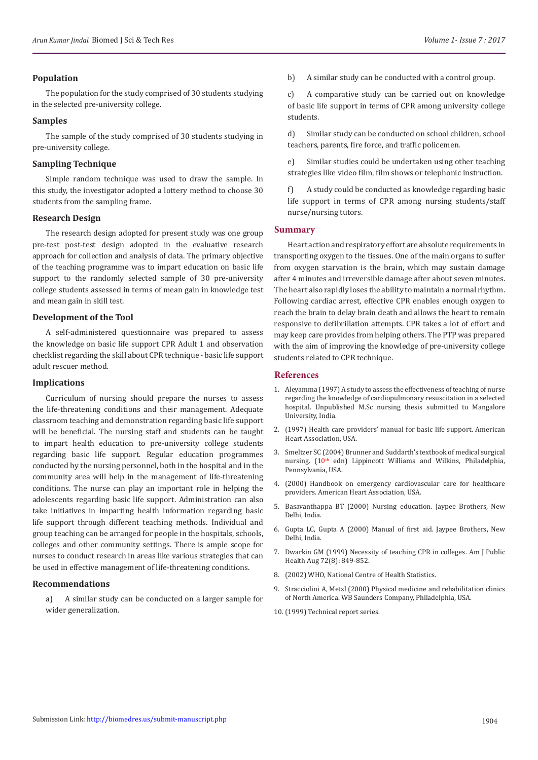## **Population**

The population for the study comprised of 30 students studying in the selected pre-university college.

#### **Samples**

The sample of the study comprised of 30 students studying in pre-university college.

#### **Sampling Technique**

Simple random technique was used to draw the sample. In this study, the investigator adopted a lottery method to choose 30 students from the sampling frame.

#### **Research Design**

The research design adopted for present study was one group pre-test post-test design adopted in the evaluative research approach for collection and analysis of data. The primary objective of the teaching programme was to impart education on basic life support to the randomly selected sample of 30 pre-university college students assessed in terms of mean gain in knowledge test and mean gain in skill test.

#### **Development of the Tool**

A self-administered questionnaire was prepared to assess the knowledge on basic life support CPR Adult 1 and observation checklist regarding the skill about CPR technique - basic life support adult rescuer method.

## **Implications**

Curriculum of nursing should prepare the nurses to assess the life-threatening conditions and their management. Adequate classroom teaching and demonstration regarding basic life support will be beneficial. The nursing staff and students can be taught to impart health education to pre-university college students regarding basic life support. Regular education programmes conducted by the nursing personnel, both in the hospital and in the community area will help in the management of life-threatening conditions. The nurse can play an important role in helping the adolescents regarding basic life support. Administration can also take initiatives in imparting health information regarding basic life support through different teaching methods. Individual and group teaching can be arranged for people in the hospitals, schools, colleges and other community settings. There is ample scope for nurses to conduct research in areas like various strategies that can be used in effective management of life-threatening conditions.

#### **Recommendations**

a) A similar study can be conducted on a larger sample for wider generalization.

b) A similar study can be conducted with a control group.

c) A comparative study can be carried out on knowledge of basic life support in terms of CPR among university college students.

d) Similar study can be conducted on school children, school teachers, parents, fire force, and traffic policemen.

e) Similar studies could be undertaken using other teaching strategies like video film, film shows or telephonic instruction.

f) A study could be conducted as knowledge regarding basic life support in terms of CPR among nursing students/staff nurse/nursing tutors.

#### **Summary**

Heart action and respiratory effort are absolute requirements in transporting oxygen to the tissues. One of the main organs to suffer from oxygen starvation is the brain, which may sustain damage after 4 minutes and irreversible damage after about seven minutes. The heart also rapidly loses the ability to maintain a normal rhythm. Following cardiac arrest, effective CPR enables enough oxygen to reach the brain to delay brain death and allows the heart to remain responsive to defibrillation attempts. CPR takes a lot of effort and may keep care provides from helping others. The PTP was prepared with the aim of improving the knowledge of pre-university college students related to CPR technique.

#### **References**

- 1. Aleyamma (1997) A study to assess the effectiveness of teaching of nurse regarding the knowledge of cardiopulmonary resuscitation in a selected hospital. Unpublished M.Sc nursing thesis submitted to Mangalore University, India.
- 2. (1997) Health care providers' manual for basic life support. American Heart Association, USA.
- 3. Smeltzer SC (2004) Brunner and Suddarth's textbook of medical surgical nursing.  $(10<sup>th</sup>$  edn) Lippincott Williams and Wilkins, Philadelphia, Pennsylvania, USA.
- 4. (2000) Handbook on emergency cardiovascular care for healthcare providers. American Heart Association, USA.
- 5. Basavanthappa BT (2000) Nursing education. Jaypee Brothers, New Delhi, India.
- 6. Gupta LC, Gupta A (2000) Manual of first aid. Jaypee Brothers, New Delhi, India.
- 7. Dwarkin GM (1999) Necessity of teaching CPR in colleges. Am J Public Health Aug 72(8): 849-852.
- 8. (2002) WHO, National Centre of Health Statistics.
- 9. Stracciolini A, Metzl (2000) Physical medicine and rehabilitation clinics of North America. WB Saunders Company, Philadelphia, USA.
- 10.(1999) Technical report series.